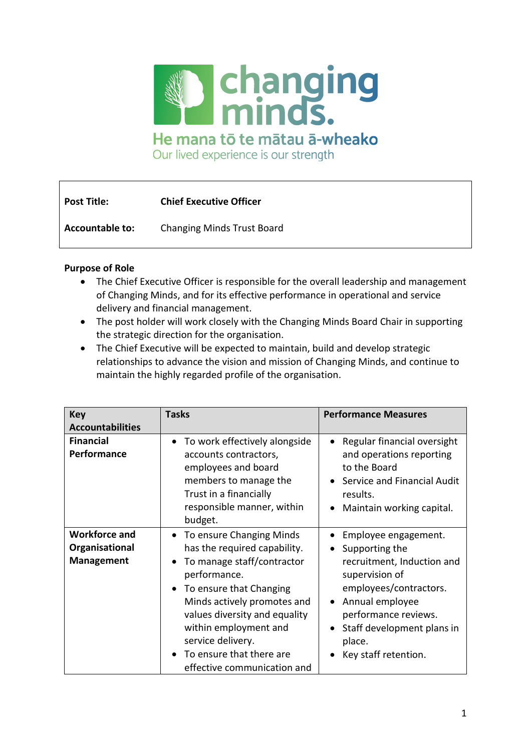

He mana tō te mātau ā-wheako

Our lived experience is our strength

| <b>Post Title:</b>     | <b>Chief Executive Officer</b> |
|------------------------|--------------------------------|
| <b>Accountable to:</b> | Changing Minds Trust Board     |

# **Purpose of Role**

- The Chief Executive Officer is responsible for the overall leadership and management of Changing Minds, and for its effective performance in operational and service delivery and financial management.
- The post holder will work closely with the Changing Minds Board Chair in supporting the strategic direction for the organisation.
- The Chief Executive will be expected to maintain, build and develop strategic relationships to advance the vision and mission of Changing Minds, and continue to maintain the highly regarded profile of the organisation.

| <b>Key</b><br><b>Accountabilities</b>                       | <b>Tasks</b>                                                                                                                                                                                                                                                                                                                                      | <b>Performance Measures</b>                                                                                                                                                                                                              |
|-------------------------------------------------------------|---------------------------------------------------------------------------------------------------------------------------------------------------------------------------------------------------------------------------------------------------------------------------------------------------------------------------------------------------|------------------------------------------------------------------------------------------------------------------------------------------------------------------------------------------------------------------------------------------|
| <b>Financial</b><br>Performance                             | To work effectively alongside<br>$\bullet$<br>accounts contractors,<br>employees and board<br>members to manage the<br>Trust in a financially<br>responsible manner, within<br>budget.                                                                                                                                                            | Regular financial oversight<br>and operations reporting<br>to the Board<br>Service and Financial Audit<br>results.<br>Maintain working capital.                                                                                          |
| <b>Workforce and</b><br>Organisational<br><b>Management</b> | To ensure Changing Minds<br>$\bullet$<br>has the required capability.<br>To manage staff/contractor<br>$\bullet$<br>performance.<br>To ensure that Changing<br>$\bullet$<br>Minds actively promotes and<br>values diversity and equality<br>within employment and<br>service delivery.<br>To ensure that there are<br>effective communication and | Employee engagement.<br>Supporting the<br>$\bullet$<br>recruitment, Induction and<br>supervision of<br>employees/contractors.<br>Annual employee<br>performance reviews.<br>Staff development plans in<br>place.<br>Key staff retention. |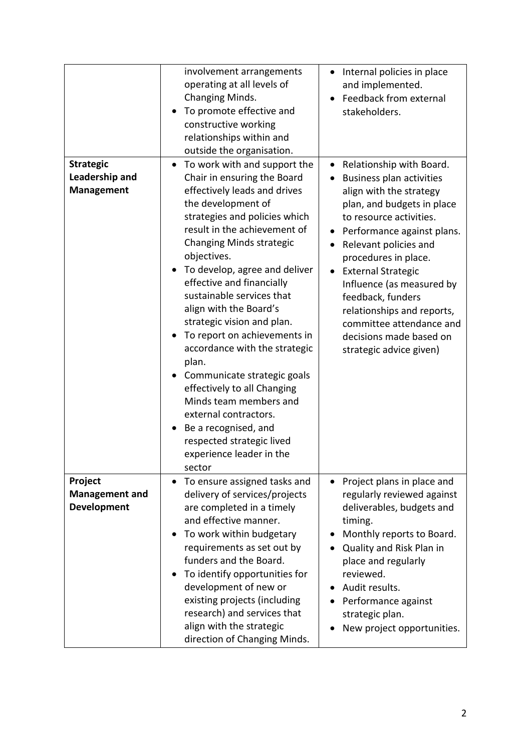| <b>Strategic</b><br>Leadership and<br><b>Management</b> | involvement arrangements<br>operating at all levels of<br>Changing Minds.<br>To promote effective and<br>constructive working<br>relationships within and<br>outside the organisation.<br>To work with and support the<br>Chair in ensuring the Board<br>effectively leads and drives<br>the development of<br>strategies and policies which<br>result in the achievement of<br><b>Changing Minds strategic</b>                                      | Internal policies in place<br>and implemented.<br>Feedback from external<br>stakeholders.<br>Relationship with Board.<br><b>Business plan activities</b><br>align with the strategy<br>plan, and budgets in place<br>to resource activities.<br>Performance against plans.<br>Relevant policies and  |
|---------------------------------------------------------|------------------------------------------------------------------------------------------------------------------------------------------------------------------------------------------------------------------------------------------------------------------------------------------------------------------------------------------------------------------------------------------------------------------------------------------------------|------------------------------------------------------------------------------------------------------------------------------------------------------------------------------------------------------------------------------------------------------------------------------------------------------|
|                                                         | objectives.<br>To develop, agree and deliver<br>effective and financially<br>sustainable services that<br>align with the Board's<br>strategic vision and plan.<br>To report on achievements in<br>accordance with the strategic<br>plan.<br>Communicate strategic goals<br>effectively to all Changing<br>Minds team members and<br>external contractors.<br>Be a recognised, and<br>respected strategic lived<br>experience leader in the<br>sector | procedures in place.<br><b>External Strategic</b><br>Influence (as measured by<br>feedback, funders<br>relationships and reports,<br>committee attendance and<br>decisions made based on<br>strategic advice given)                                                                                  |
| Project<br><b>Management and</b><br><b>Development</b>  | To ensure assigned tasks and<br>$\bullet$<br>delivery of services/projects<br>are completed in a timely<br>and effective manner.<br>To work within budgetary<br>requirements as set out by<br>funders and the Board.<br>To identify opportunities for<br>development of new or<br>existing projects (including<br>research) and services that<br>align with the strategic<br>direction of Changing Minds.                                            | Project plans in place and<br>$\bullet$<br>regularly reviewed against<br>deliverables, budgets and<br>timing.<br>Monthly reports to Board.<br>Quality and Risk Plan in<br>place and regularly<br>reviewed.<br>Audit results.<br>Performance against<br>strategic plan.<br>New project opportunities. |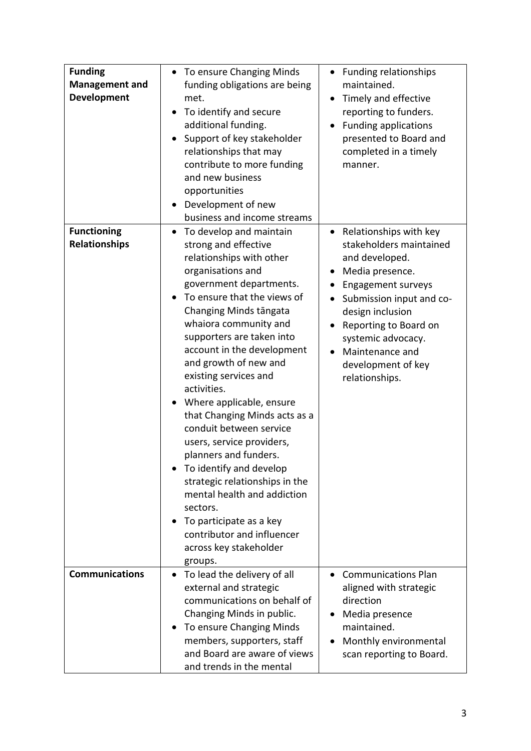| <b>Funding</b><br><b>Management and</b><br><b>Development</b> | To ensure Changing Minds<br>$\bullet$<br>funding obligations are being<br>met.<br>To identify and secure<br>$\bullet$<br>additional funding.<br>Support of key stakeholder<br>relationships that may<br>contribute to more funding<br>and new business<br>opportunities<br>Development of new<br>business and income streams                                                                                                                                                                                                                                                                                                                                                                               | <b>Funding relationships</b><br>maintained.<br>Timely and effective<br>reporting to funders.<br><b>Funding applications</b><br>presented to Board and<br>completed in a timely<br>manner.                                                                                       |
|---------------------------------------------------------------|------------------------------------------------------------------------------------------------------------------------------------------------------------------------------------------------------------------------------------------------------------------------------------------------------------------------------------------------------------------------------------------------------------------------------------------------------------------------------------------------------------------------------------------------------------------------------------------------------------------------------------------------------------------------------------------------------------|---------------------------------------------------------------------------------------------------------------------------------------------------------------------------------------------------------------------------------------------------------------------------------|
| <b>Functioning</b><br><b>Relationships</b>                    | To develop and maintain<br>$\bullet$<br>strong and effective<br>relationships with other<br>organisations and<br>government departments.<br>To ensure that the views of<br>Changing Minds tāngata<br>whaiora community and<br>supporters are taken into<br>account in the development<br>and growth of new and<br>existing services and<br>activities.<br>Where applicable, ensure<br>that Changing Minds acts as a<br>conduit between service<br>users, service providers,<br>planners and funders.<br>To identify and develop<br>strategic relationships in the<br>mental health and addiction<br>sectors.<br>To participate as a key<br>contributor and influencer<br>across key stakeholder<br>groups. | • Relationships with key<br>stakeholders maintained<br>and developed.<br>Media presence.<br><b>Engagement surveys</b><br>Submission input and co-<br>design inclusion<br>Reporting to Board on<br>systemic advocacy.<br>Maintenance and<br>development of key<br>relationships. |
| <b>Communications</b>                                         | To lead the delivery of all<br>$\bullet$<br>external and strategic<br>communications on behalf of<br>Changing Minds in public.<br>To ensure Changing Minds<br>members, supporters, staff<br>and Board are aware of views<br>and trends in the mental                                                                                                                                                                                                                                                                                                                                                                                                                                                       | <b>Communications Plan</b><br>$\bullet$<br>aligned with strategic<br>direction<br>Media presence<br>maintained.<br>Monthly environmental<br>scan reporting to Board.                                                                                                            |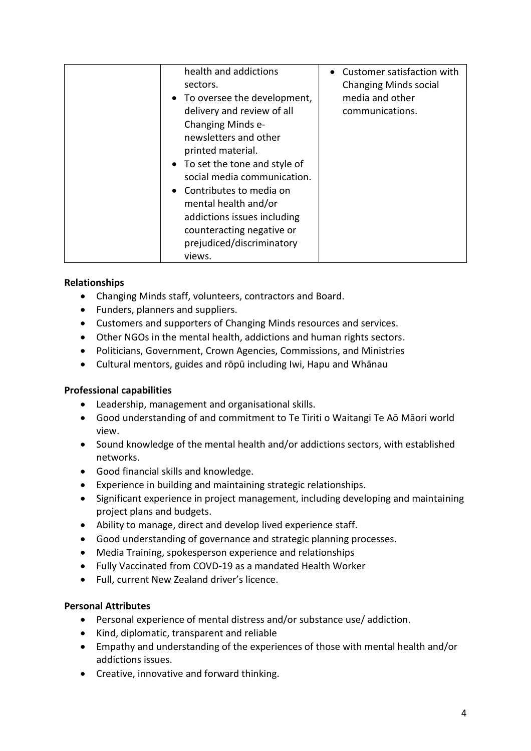| health and addictions<br>sectors.<br>• To oversee the development,<br>delivery and review of all<br>Changing Minds e-<br>newsletters and other<br>printed material.<br>• To set the tone and style of<br>social media communication.<br>• Contributes to media on<br>mental health and/or<br>addictions issues including<br>counteracting negative or<br>prejudiced/discriminatory<br>views. | • Customer satisfaction with<br><b>Changing Minds social</b><br>media and other<br>communications. |
|----------------------------------------------------------------------------------------------------------------------------------------------------------------------------------------------------------------------------------------------------------------------------------------------------------------------------------------------------------------------------------------------|----------------------------------------------------------------------------------------------------|
|----------------------------------------------------------------------------------------------------------------------------------------------------------------------------------------------------------------------------------------------------------------------------------------------------------------------------------------------------------------------------------------------|----------------------------------------------------------------------------------------------------|

# **Relationships**

- Changing Minds staff, volunteers, contractors and Board.
- Funders, planners and suppliers.
- Customers and supporters of Changing Minds resources and services.
- Other NGOs in the mental health, addictions and human rights sectors.
- Politicians, Government, Crown Agencies, Commissions, and Ministries
- Cultural mentors, guides and rōpū including Iwi, Hapu and Whānau

# **Professional capabilities**

- Leadership, management and organisational skills.
- Good understanding of and commitment to Te Tiriti o Waitangi Te Aō Māori world view.
- Sound knowledge of the mental health and/or addictions sectors, with established networks.
- Good financial skills and knowledge.
- Experience in building and maintaining strategic relationships.
- Significant experience in project management, including developing and maintaining project plans and budgets.
- Ability to manage, direct and develop lived experience staff.
- Good understanding of governance and strategic planning processes.
- Media Training, spokesperson experience and relationships
- Fully Vaccinated from COVD-19 as a mandated Health Worker
- Full, current New Zealand driver's licence.

# **Personal Attributes**

- Personal experience of mental distress and/or substance use/ addiction.
- Kind, diplomatic, transparent and reliable
- Empathy and understanding of the experiences of those with mental health and/or addictions issues.
- Creative, innovative and forward thinking.